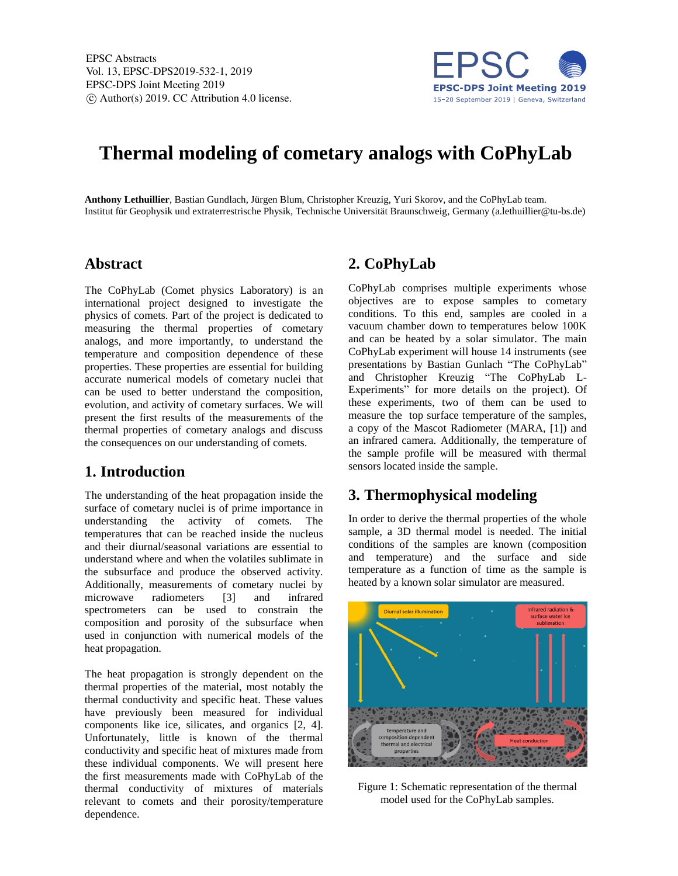

# **Thermal modeling of cometary analogs with CoPhyLab**

**Anthony Lethuillier**, Bastian Gundlach, Jürgen Blum, Christopher Kreuzig, Yuri Skorov, and the CoPhyLab team. Institut für Geophysik und extraterrestrische Physik, Technische Universität Braunschweig, Germany (a.lethuillier@tu-bs.de)

#### **Abstract**

The CoPhyLab (Comet physics Laboratory) is an international project designed to investigate the physics of comets. Part of the project is dedicated to measuring the thermal properties of cometary analogs, and more importantly, to understand the temperature and composition dependence of these properties. These properties are essential for building accurate numerical models of cometary nuclei that can be used to better understand the composition, evolution, and activity of cometary surfaces. We will present the first results of the measurements of the thermal properties of cometary analogs and discuss the consequences on our understanding of comets.

## **1. Introduction**

The understanding of the heat propagation inside the surface of cometary nuclei is of prime importance in understanding the activity of comets. The temperatures that can be reached inside the nucleus and their diurnal/seasonal variations are essential to understand where and when the volatiles sublimate in the subsurface and produce the observed activity. Additionally, measurements of cometary nuclei by microwave radiometers [3] and infrared spectrometers can be used to constrain the composition and porosity of the subsurface when used in conjunction with numerical models of the heat propagation.

The heat propagation is strongly dependent on the thermal properties of the material, most notably the thermal conductivity and specific heat. These values have previously been measured for individual components like ice, silicates, and organics [2, 4]. Unfortunately, little is known of the thermal conductivity and specific heat of mixtures made from these individual components. We will present here the first measurements made with CoPhyLab of the thermal conductivity of mixtures of materials relevant to comets and their porosity/temperature dependence.

## **2. CoPhyLab**

CoPhyLab comprises multiple experiments whose objectives are to expose samples to cometary conditions. To this end, samples are cooled in a vacuum chamber down to temperatures below 100K and can be heated by a solar simulator. The main CoPhyLab experiment will house 14 instruments (see presentations by Bastian Gunlach "The CoPhyLab" and Christopher Kreuzig "The CoPhyLab L-Experiments" for more details on the project). Of these experiments, two of them can be used to measure the top surface temperature of the samples, a copy of the Mascot Radiometer (MARA, [1]) and an infrared camera. Additionally, the temperature of the sample profile will be measured with thermal sensors located inside the sample.

## **3. Thermophysical modeling**

In order to derive the thermal properties of the whole sample, a 3D thermal model is needed. The initial conditions of the samples are known (composition and temperature) and the surface and side temperature as a function of time as the sample is heated by a known solar simulator are measured.



Figure 1: Schematic representation of the thermal model used for the CoPhyLab samples.